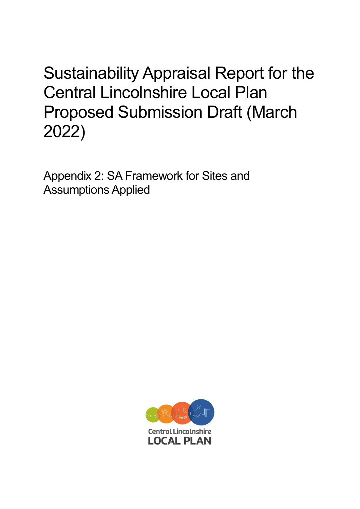Sustainability Appraisal Report for the Central Lincolnshire Local Plan Proposed Submission Draft (March 2022)

Appendix 2: SA Framework for Sites and Assumptions Applied

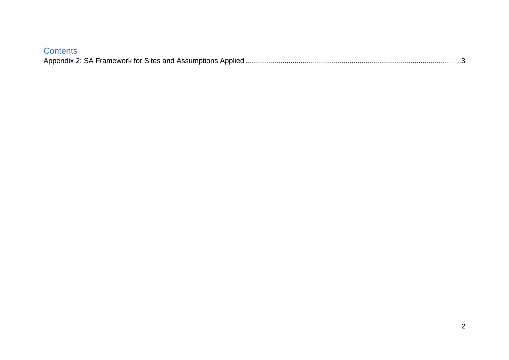| <b>Contents</b> |  |
|-----------------|--|
|                 |  |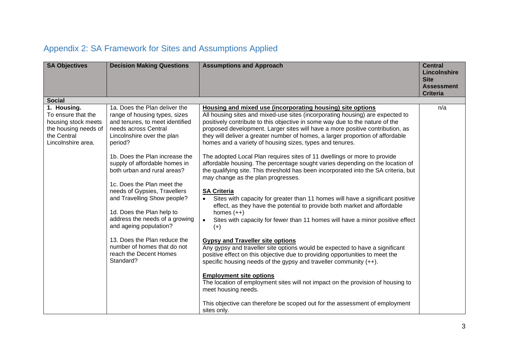## <span id="page-2-0"></span>Appendix 2: SA Framework for Sites and Assumptions Applied

| <b>SA Objectives</b>                                                                                   | <b>Decision Making Questions</b>                                                                                                  | <b>Assumptions and Approach</b>                                                                                                                                                                                                                                                                                                                                                                                                                            | <b>Central</b><br>Lincolnshire<br><b>Site</b><br><b>Assessment</b><br><b>Criteria</b> |
|--------------------------------------------------------------------------------------------------------|-----------------------------------------------------------------------------------------------------------------------------------|------------------------------------------------------------------------------------------------------------------------------------------------------------------------------------------------------------------------------------------------------------------------------------------------------------------------------------------------------------------------------------------------------------------------------------------------------------|---------------------------------------------------------------------------------------|
| <b>Social</b><br>1. Housing.                                                                           | 1a. Does the Plan deliver the                                                                                                     |                                                                                                                                                                                                                                                                                                                                                                                                                                                            | n/a                                                                                   |
| To ensure that the<br>housing stock meets<br>the housing needs of<br>the Central<br>Lincolnshire area. | range of housing types, sizes<br>and tenures, to meet identified<br>needs across Central<br>Lincolnshire over the plan<br>period? | Housing and mixed use (incorporating housing) site options<br>All housing sites and mixed-use sites (incorporating housing) are expected to<br>positively contribute to this objective in some way due to the nature of the<br>proposed development. Larger sites will have a more positive contribution, as<br>they will deliver a greater number of homes, a larger proportion of affordable<br>homes and a variety of housing sizes, types and tenures. |                                                                                       |
|                                                                                                        | 1b. Does the Plan increase the<br>supply of affordable homes in<br>both urban and rural areas?<br>1c. Does the Plan meet the      | The adopted Local Plan requires sites of 11 dwellings or more to provide<br>affordable housing. The percentage sought varies depending on the location of<br>the qualifying site. This threshold has been incorporated into the SA criteria, but<br>may change as the plan progresses.                                                                                                                                                                     |                                                                                       |
|                                                                                                        | needs of Gypsies, Travellers<br>and Travelling Show people?<br>1d. Does the Plan help to                                          | <b>SA Criteria</b><br>Sites with capacity for greater than 11 homes will have a significant positive<br>$\bullet$<br>effect, as they have the potential to provide both market and affordable<br>homes $(++)$                                                                                                                                                                                                                                              |                                                                                       |
|                                                                                                        | address the needs of a growing<br>and ageing population?                                                                          | Sites with capacity for fewer than 11 homes will have a minor positive effect<br>$\bullet$<br>$(+)$                                                                                                                                                                                                                                                                                                                                                        |                                                                                       |
|                                                                                                        | 13. Does the Plan reduce the<br>number of homes that do not<br>reach the Decent Homes<br>Standard?                                | <b>Gypsy and Traveller site options</b><br>Any gypsy and traveller site options would be expected to have a significant<br>positive effect on this objective due to providing opportunities to meet the<br>specific housing needs of the gypsy and traveller community $(++)$ .                                                                                                                                                                            |                                                                                       |
|                                                                                                        |                                                                                                                                   | <b>Employment site options</b><br>The location of employment sites will not impact on the provision of housing to<br>meet housing needs.                                                                                                                                                                                                                                                                                                                   |                                                                                       |
|                                                                                                        |                                                                                                                                   | This objective can therefore be scoped out for the assessment of employment<br>sites only.                                                                                                                                                                                                                                                                                                                                                                 |                                                                                       |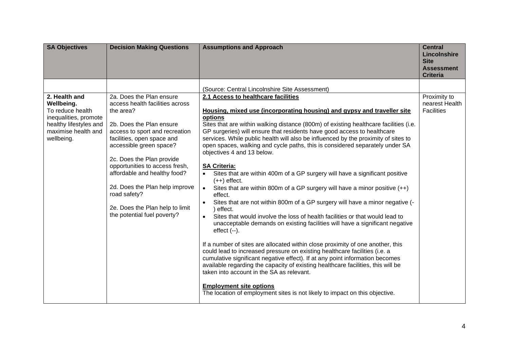| <b>SA Objectives</b>                                                                                                                    | <b>Decision Making Questions</b>                                                                                                                                                                                                                                                                                                                                                                                   | <b>Assumptions and Approach</b>                                                                                                                                                                                                                                                                                                                                                                                                                                                                                                                                                                                                                                                                                                                                                                                                                                                                                                                                                                                                                                                                                                                                                                                                                                                                                                                                                                                                                                                                                                                | <b>Central</b><br>Lincolnshire<br><b>Site</b><br><b>Assessment</b><br><b>Criteria</b> |
|-----------------------------------------------------------------------------------------------------------------------------------------|--------------------------------------------------------------------------------------------------------------------------------------------------------------------------------------------------------------------------------------------------------------------------------------------------------------------------------------------------------------------------------------------------------------------|------------------------------------------------------------------------------------------------------------------------------------------------------------------------------------------------------------------------------------------------------------------------------------------------------------------------------------------------------------------------------------------------------------------------------------------------------------------------------------------------------------------------------------------------------------------------------------------------------------------------------------------------------------------------------------------------------------------------------------------------------------------------------------------------------------------------------------------------------------------------------------------------------------------------------------------------------------------------------------------------------------------------------------------------------------------------------------------------------------------------------------------------------------------------------------------------------------------------------------------------------------------------------------------------------------------------------------------------------------------------------------------------------------------------------------------------------------------------------------------------------------------------------------------------|---------------------------------------------------------------------------------------|
|                                                                                                                                         |                                                                                                                                                                                                                                                                                                                                                                                                                    | (Source: Central Lincolnshire Site Assessment)                                                                                                                                                                                                                                                                                                                                                                                                                                                                                                                                                                                                                                                                                                                                                                                                                                                                                                                                                                                                                                                                                                                                                                                                                                                                                                                                                                                                                                                                                                 |                                                                                       |
| 2. Health and<br>Wellbeing.<br>To reduce health<br>inequalities, promote<br>healthy lifestyles and<br>maximise health and<br>wellbeing. | 2a. Does the Plan ensure<br>access health facilities across<br>the area?<br>2b. Does the Plan ensure<br>access to sport and recreation<br>facilities, open space and<br>accessible green space?<br>2c. Does the Plan provide<br>opportunities to access fresh,<br>affordable and healthy food?<br>2d. Does the Plan help improve<br>road safety?<br>2e. Does the Plan help to limit<br>the potential fuel poverty? | 2.1 Access to healthcare facilities<br>Housing, mixed use (incorporating housing) and gypsy and traveller site<br>options<br>Sites that are within walking distance (800m) of existing healthcare facilities (i.e.<br>GP surgeries) will ensure that residents have good access to healthcare<br>services. While public health will also be influenced by the proximity of sites to<br>open spaces, walking and cycle paths, this is considered separately under SA<br>objectives 4 and 13 below.<br><b>SA Criteria:</b><br>Sites that are within 400m of a GP surgery will have a significant positive<br>$\bullet$<br>$(++)$ effect.<br>Sites that are within 800m of a GP surgery will have a minor positive $(++)$<br>$\bullet$<br>effect.<br>Sites that are not within 800m of a GP surgery will have a minor negative (-<br>) effect.<br>Sites that would involve the loss of health facilities or that would lead to<br>$\bullet$<br>unacceptable demands on existing facilities will have a significant negative<br>$effect$ $(-)$ .<br>If a number of sites are allocated within close proximity of one another, this<br>could lead to increased pressure on existing healthcare facilities (i.e. a<br>cumulative significant negative effect). If at any point information becomes<br>available regarding the capacity of existing healthcare facilities, this will be<br>taken into account in the SA as relevant.<br><b>Employment site options</b><br>The location of employment sites is not likely to impact on this objective. | Proximity to<br>nearest Health<br><b>Facilities</b>                                   |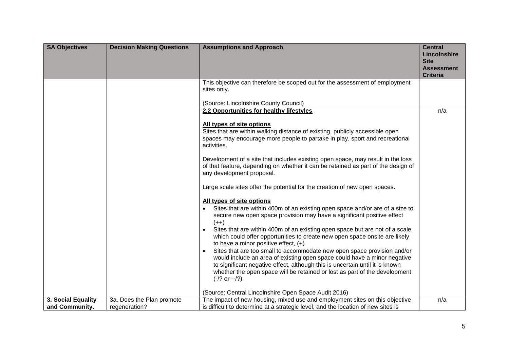| <b>SA Objectives</b> | <b>Decision Making Questions</b> | <b>Assumptions and Approach</b>                                                                                                                                                                                                                                                                                                                  | <b>Central</b><br>Lincolnshire<br><b>Site</b><br><b>Assessment</b><br><b>Criteria</b> |
|----------------------|----------------------------------|--------------------------------------------------------------------------------------------------------------------------------------------------------------------------------------------------------------------------------------------------------------------------------------------------------------------------------------------------|---------------------------------------------------------------------------------------|
|                      |                                  | This objective can therefore be scoped out for the assessment of employment<br>sites only.<br>(Source: Lincolnshire County Council)                                                                                                                                                                                                              |                                                                                       |
|                      |                                  | 2.2 Opportunities for healthy lifestyles                                                                                                                                                                                                                                                                                                         | n/a                                                                                   |
|                      |                                  | All types of site options<br>Sites that are within walking distance of existing, publicly accessible open<br>spaces may encourage more people to partake in play, sport and recreational<br>activities.                                                                                                                                          |                                                                                       |
|                      |                                  | Development of a site that includes existing open space, may result in the loss<br>of that feature, depending on whether it can be retained as part of the design of<br>any development proposal.                                                                                                                                                |                                                                                       |
|                      |                                  | Large scale sites offer the potential for the creation of new open spaces.                                                                                                                                                                                                                                                                       |                                                                                       |
|                      |                                  | All types of site options                                                                                                                                                                                                                                                                                                                        |                                                                                       |
|                      |                                  | Sites that are within 400m of an existing open space and/or are of a size to<br>secure new open space provision may have a significant positive effect<br>$(++)$                                                                                                                                                                                 |                                                                                       |
|                      |                                  | Sites that are within 400m of an existing open space but are not of a scale<br>which could offer opportunities to create new open space onsite are likely<br>to have a minor positive effect, $(+)$                                                                                                                                              |                                                                                       |
|                      |                                  | Sites that are too small to accommodate new open space provision and/or<br>$\bullet$<br>would include an area of existing open space could have a minor negative<br>to significant negative effect, although this is uncertain until it is known<br>whether the open space will be retained or lost as part of the development<br>$(-/? or -2')$ |                                                                                       |
|                      |                                  | (Source: Central Lincolnshire Open Space Audit 2016)                                                                                                                                                                                                                                                                                             |                                                                                       |
| 3. Social Equality   | 3a. Does the Plan promote        | The impact of new housing, mixed use and employment sites on this objective                                                                                                                                                                                                                                                                      | n/a                                                                                   |
| and Community.       | regeneration?                    | is difficult to determine at a strategic level, and the location of new sites is                                                                                                                                                                                                                                                                 |                                                                                       |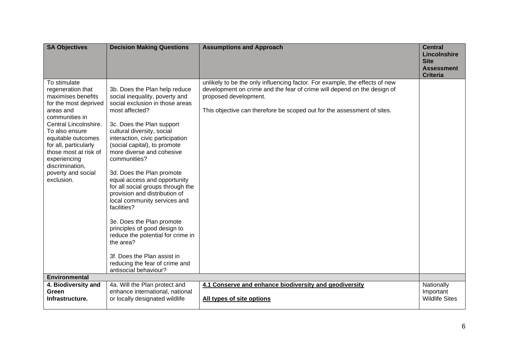| <b>SA Objectives</b>                                                                                                                                                                                                                                                                                      | <b>Decision Making Questions</b>                                                                                                                                                                                                                                                                                                                                                                                                                                                                                                                                                                                                                                                            | <b>Assumptions and Approach</b>                                                                                                                                                                                                                            | <b>Central</b><br><b>Lincolnshire</b><br><b>Site</b><br><b>Assessment</b><br><b>Criteria</b> |
|-----------------------------------------------------------------------------------------------------------------------------------------------------------------------------------------------------------------------------------------------------------------------------------------------------------|---------------------------------------------------------------------------------------------------------------------------------------------------------------------------------------------------------------------------------------------------------------------------------------------------------------------------------------------------------------------------------------------------------------------------------------------------------------------------------------------------------------------------------------------------------------------------------------------------------------------------------------------------------------------------------------------|------------------------------------------------------------------------------------------------------------------------------------------------------------------------------------------------------------------------------------------------------------|----------------------------------------------------------------------------------------------|
| To stimulate<br>regeneration that<br>maximises benefits<br>for the most deprived<br>areas and<br>communities in<br>Central Lincolnshire.<br>To also ensure<br>equitable outcomes<br>for all, particularly<br>those most at risk of<br>experiencing<br>discrimination,<br>poverty and social<br>exclusion. | 3b. Does the Plan help reduce<br>social inequality, poverty and<br>social exclusion in those areas<br>most affected?<br>3c. Does the Plan support<br>cultural diversity, social<br>interaction, civic participation<br>(social capital), to promote<br>more diverse and cohesive<br>communities?<br>3d. Does the Plan promote<br>equal access and opportunity<br>for all social groups through the<br>provision and distribution of<br>local community services and<br>facilities?<br>3e. Does the Plan promote<br>principles of good design to<br>reduce the potential for crime in<br>the area?<br>3f. Does the Plan assist in<br>reducing the fear of crime and<br>antisocial behaviour? | unlikely to be the only influencing factor. For example, the effects of new<br>development on crime and the fear of crime will depend on the design of<br>proposed development.<br>This objective can therefore be scoped out for the assessment of sites. |                                                                                              |
| <b>Environmental</b>                                                                                                                                                                                                                                                                                      |                                                                                                                                                                                                                                                                                                                                                                                                                                                                                                                                                                                                                                                                                             |                                                                                                                                                                                                                                                            |                                                                                              |
| 4. Biodiversity and                                                                                                                                                                                                                                                                                       | 4a. Will the Plan protect and                                                                                                                                                                                                                                                                                                                                                                                                                                                                                                                                                                                                                                                               | 4.1 Conserve and enhance biodiversity and geodiversity                                                                                                                                                                                                     | Nationally                                                                                   |
| Green<br>Infrastructure.                                                                                                                                                                                                                                                                                  | enhance international, national<br>or locally designated wildlife                                                                                                                                                                                                                                                                                                                                                                                                                                                                                                                                                                                                                           | All types of site options                                                                                                                                                                                                                                  | Important<br><b>Wildlife Sites</b>                                                           |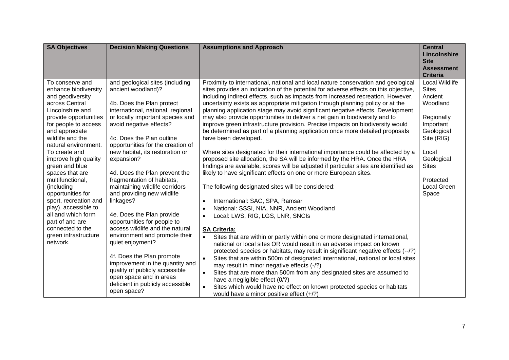| <b>SA Objectives</b>                                                                                                                                                                                                                                                                                                                                                                                                                                                                                    | <b>Decision Making Questions</b>                                                                                                                                                                                                                                                                                                                                                                                                                                                                                                                                                                                                                                                                                                                                                          | <b>Assumptions and Approach</b>                                                                                                                                                                                                                                                                                                                                                                                                                                                                                                                                                                                                                                                                                                                                                                                                                                                                                                                                                                                                                                                                                                                                                                                                                                                                                                                                                                                                                                                                                                                                                                                                                                                                                                                                                                                                                                                                                                                          | <b>Central</b><br>Lincolnshire<br><b>Site</b><br><b>Assessment</b><br><b>Criteria</b>                                                                                                           |
|---------------------------------------------------------------------------------------------------------------------------------------------------------------------------------------------------------------------------------------------------------------------------------------------------------------------------------------------------------------------------------------------------------------------------------------------------------------------------------------------------------|-------------------------------------------------------------------------------------------------------------------------------------------------------------------------------------------------------------------------------------------------------------------------------------------------------------------------------------------------------------------------------------------------------------------------------------------------------------------------------------------------------------------------------------------------------------------------------------------------------------------------------------------------------------------------------------------------------------------------------------------------------------------------------------------|----------------------------------------------------------------------------------------------------------------------------------------------------------------------------------------------------------------------------------------------------------------------------------------------------------------------------------------------------------------------------------------------------------------------------------------------------------------------------------------------------------------------------------------------------------------------------------------------------------------------------------------------------------------------------------------------------------------------------------------------------------------------------------------------------------------------------------------------------------------------------------------------------------------------------------------------------------------------------------------------------------------------------------------------------------------------------------------------------------------------------------------------------------------------------------------------------------------------------------------------------------------------------------------------------------------------------------------------------------------------------------------------------------------------------------------------------------------------------------------------------------------------------------------------------------------------------------------------------------------------------------------------------------------------------------------------------------------------------------------------------------------------------------------------------------------------------------------------------------------------------------------------------------------------------------------------------------|-------------------------------------------------------------------------------------------------------------------------------------------------------------------------------------------------|
| To conserve and<br>enhance biodiversity<br>and geodiversity<br>across Central<br>Lincolnshire and<br>provide opportunities<br>for people to access<br>and appreciate<br>wildlife and the<br>natural environment.<br>To create and<br>improve high quality<br>green and blue<br>spaces that are<br>multifunctional,<br>(including<br>opportunities for<br>sport, recreation and<br>play), accessible to<br>all and which form<br>part of and are<br>connected to the<br>green infrastructure<br>network. | and geological sites (including<br>ancient woodland)?<br>4b. Does the Plan protect<br>international, national, regional<br>or locally important species and<br>avoid negative effects?<br>4c. Does the Plan outline<br>opportunities for the creation of<br>new habitat, its restoration or<br>expansion?<br>4d. Does the Plan prevent the<br>fragmentation of habitats,<br>maintaining wildlife corridors<br>and providing new wildlife<br>linkages?<br>4e. Does the Plan provide<br>opportunities for people to<br>access wildlife and the natural<br>environment and promote their<br>quiet enjoyment?<br>4f. Does the Plan promote<br>improvement in the quantity and<br>quality of publicly accessible<br>open space and in areas<br>deficient in publicly accessible<br>open space? | Proximity to international, national and local nature conservation and geological<br>sites provides an indication of the potential for adverse effects on this objective,<br>including indirect effects, such as impacts from increased recreation. However,<br>uncertainty exists as appropriate mitigation through planning policy or at the<br>planning application stage may avoid significant negative effects. Development<br>may also provide opportunities to deliver a net gain in biodiversity and to<br>improve green infrastructure provision. Precise impacts on biodiversity would<br>be determined as part of a planning application once more detailed proposals<br>have been developed.<br>Where sites designated for their international importance could be affected by a<br>proposed site allocation, the SA will be informed by the HRA. Once the HRA<br>findings are available, scores will be adjusted if particular sites are identified as<br>likely to have significant effects on one or more European sites.<br>The following designated sites will be considered:<br>International: SAC, SPA, Ramsar<br>$\bullet$<br>National: SSSI, NIA, NNR, Ancient Woodland<br>$\bullet$<br>Local: LWS, RIG, LGS, LNR, SNCIs<br>$\bullet$<br><b>SA Criteria:</b><br>Sites that are within or partly within one or more designated international,<br>$\bullet$<br>national or local sites OR would result in an adverse impact on known<br>protected species or habitats, may result in significant negative effects (--/?)<br>Sites that are within 500m of designated international, national or local sites<br>$\bullet$<br>may result in minor negative effects (-/?)<br>Sites that are more than 500m from any designated sites are assumed to<br>$\bullet$<br>have a negligible effect (0/?)<br>Sites which would have no effect on known protected species or habitats<br>$\bullet$<br>would have a minor positive effect $(+/?)$ | <b>Local Wildlife</b><br><b>Sites</b><br>Ancient<br>Woodland<br>Regionally<br>Important<br>Geological<br>Site (RIG)<br>Local<br>Geological<br><b>Sites</b><br>Protected<br>Local Green<br>Space |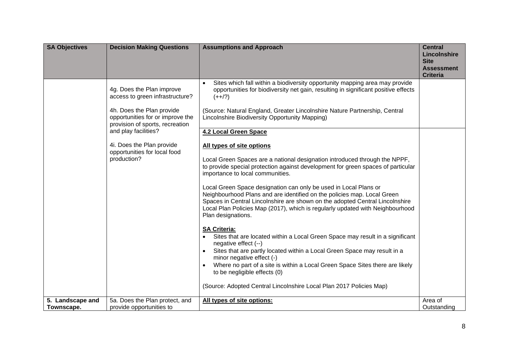| <b>SA Objectives</b> | <b>Decision Making Questions</b>                                                          | <b>Assumptions and Approach</b>                                                                                                                                                                                                                                                                                                    | <b>Central</b><br>Lincolnshire<br><b>Site</b> |
|----------------------|-------------------------------------------------------------------------------------------|------------------------------------------------------------------------------------------------------------------------------------------------------------------------------------------------------------------------------------------------------------------------------------------------------------------------------------|-----------------------------------------------|
|                      |                                                                                           |                                                                                                                                                                                                                                                                                                                                    | <b>Assessment</b><br><b>Criteria</b>          |
|                      | 4g. Does the Plan improve<br>access to green infrastructure?<br>4h. Does the Plan provide | Sites which fall within a biodiversity opportunity mapping area may provide<br>opportunities for biodiversity net gain, resulting in significant positive effects<br>$(++/-)$<br>(Source: Natural England, Greater Lincolnshire Nature Partnership, Central                                                                        |                                               |
|                      | opportunities for or improve the<br>provision of sports, recreation                       | Lincolnshire Biodiversity Opportunity Mapping)                                                                                                                                                                                                                                                                                     |                                               |
|                      | and play facilities?                                                                      | <b>4.2 Local Green Space</b>                                                                                                                                                                                                                                                                                                       |                                               |
|                      | 4i. Does the Plan provide<br>opportunities for local food                                 | All types of site options                                                                                                                                                                                                                                                                                                          |                                               |
|                      | production?                                                                               | Local Green Spaces are a national designation introduced through the NPPF,<br>to provide special protection against development for green spaces of particular<br>importance to local communities.                                                                                                                                 |                                               |
|                      |                                                                                           | Local Green Space designation can only be used in Local Plans or<br>Neighbourhood Plans and are identified on the policies map. Local Green<br>Spaces in Central Lincolnshire are shown on the adopted Central Lincolnshire<br>Local Plan Policies Map (2017), which is regularly updated with Neighbourhood<br>Plan designations. |                                               |
|                      |                                                                                           | <b>SA Criteria:</b><br>Sites that are located within a Local Green Space may result in a significant<br>negative effect (--)<br>Sites that are partly located within a Local Green Space may result in a<br>$\bullet$                                                                                                              |                                               |
|                      |                                                                                           | minor negative effect (-)<br>Where no part of a site is within a Local Green Space Sites there are likely<br>$\bullet$                                                                                                                                                                                                             |                                               |
|                      |                                                                                           | to be negligible effects (0)                                                                                                                                                                                                                                                                                                       |                                               |
|                      |                                                                                           | (Source: Adopted Central Lincolnshire Local Plan 2017 Policies Map)                                                                                                                                                                                                                                                                |                                               |
| 5. Landscape and     | 5a. Does the Plan protect, and                                                            | All types of site options:                                                                                                                                                                                                                                                                                                         | Area of                                       |
| Townscape.           | provide opportunities to                                                                  |                                                                                                                                                                                                                                                                                                                                    | Outstanding                                   |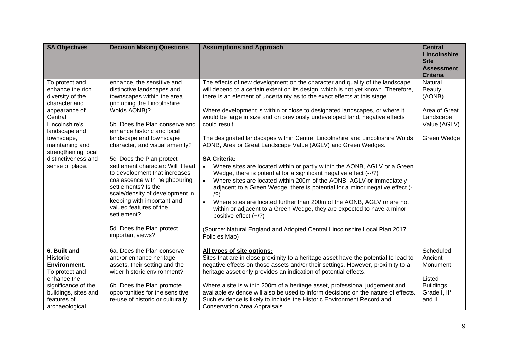| <b>SA Objectives</b>                                                                                                                                                                                                                     | <b>Decision Making Questions</b>                                                                                                                                                                                                                                                                                                                                                                                                                                                                                                                                                          | <b>Assumptions and Approach</b>                                                                                                                                                                                                                                                                                                                                                                                                                                                                                                                                                                                                                                                                                                                                                                                                                                                                                                                                                                                                                                                                                                                                                                                                            | <b>Central</b><br>Lincolnshire<br><b>Site</b><br><b>Assessment</b><br><b>Criteria</b>    |
|------------------------------------------------------------------------------------------------------------------------------------------------------------------------------------------------------------------------------------------|-------------------------------------------------------------------------------------------------------------------------------------------------------------------------------------------------------------------------------------------------------------------------------------------------------------------------------------------------------------------------------------------------------------------------------------------------------------------------------------------------------------------------------------------------------------------------------------------|--------------------------------------------------------------------------------------------------------------------------------------------------------------------------------------------------------------------------------------------------------------------------------------------------------------------------------------------------------------------------------------------------------------------------------------------------------------------------------------------------------------------------------------------------------------------------------------------------------------------------------------------------------------------------------------------------------------------------------------------------------------------------------------------------------------------------------------------------------------------------------------------------------------------------------------------------------------------------------------------------------------------------------------------------------------------------------------------------------------------------------------------------------------------------------------------------------------------------------------------|------------------------------------------------------------------------------------------|
| To protect and<br>enhance the rich<br>diversity of the<br>character and<br>appearance of<br>Central<br>Lincolnshire's<br>landscape and<br>townscape,<br>maintaining and<br>strengthening local<br>distinctiveness and<br>sense of place. | enhance, the sensitive and<br>distinctive landscapes and<br>townscapes within the area<br>(including the Lincolnshire<br>Wolds AONB)?<br>5b. Does the Plan conserve and<br>enhance historic and local<br>landscape and townscape<br>character, and visual amenity?<br>5c. Does the Plan protect<br>settlement character: Will it lead<br>to development that increases<br>coalescence with neighbouring<br>settlements? Is the<br>scale/density of development in<br>keeping with important and<br>valued features of the<br>settlement?<br>5d. Does the Plan protect<br>important views? | The effects of new development on the character and quality of the landscape<br>will depend to a certain extent on its design, which is not yet known. Therefore,<br>there is an element of uncertainty as to the exact effects at this stage.<br>Where development is within or close to designated landscapes, or where it<br>would be large in size and on previously undeveloped land, negative effects<br>could result.<br>The designated landscapes within Central Lincolnshire are: Lincolnshire Wolds<br>AONB, Area or Great Landscape Value (AGLV) and Green Wedges.<br><b>SA Criteria:</b><br>Where sites are located within or partly within the AONB, AGLV or a Green<br>$\bullet$<br>Wedge, there is potential for a significant negative effect (--/?)<br>Where sites are located within 200m of the AONB, AGLV or immediately<br>$\bullet$<br>adjacent to a Green Wedge, there is potential for a minor negative effect (-<br>(2)<br>Where sites are located further than 200m of the AONB, AGLV or are not<br>$\bullet$<br>within or adjacent to a Green Wedge, they are expected to have a minor<br>positive effect $(+/?)$<br>(Source: Natural England and Adopted Central Lincolnshire Local Plan 2017<br>Policies Map) | Natural<br>Beauty<br>(AONB)<br>Area of Great<br>Landscape<br>Value (AGLV)<br>Green Wedge |
| 6. Built and<br><b>Historic</b><br>Environment.<br>To protect and<br>enhance the<br>significance of the                                                                                                                                  | 6a. Does the Plan conserve<br>and/or enhance heritage<br>assets, their setting and the<br>wider historic environment?<br>6b. Does the Plan promote                                                                                                                                                                                                                                                                                                                                                                                                                                        | All types of site options:<br>Sites that are in close proximity to a heritage asset have the potential to lead to<br>negative effects on those assets and/or their settings. However, proximity to a<br>heritage asset only provides an indication of potential effects.<br>Where a site is within 200m of a heritage asset, professional judgement and                                                                                                                                                                                                                                                                                                                                                                                                                                                                                                                                                                                                                                                                                                                                                                                                                                                                                    | Scheduled<br>Ancient<br>Monument<br>Listed<br><b>Buildings</b>                           |
| buildings, sites and<br>features of<br>archaeological,                                                                                                                                                                                   | opportunities for the sensitive<br>re-use of historic or culturally                                                                                                                                                                                                                                                                                                                                                                                                                                                                                                                       | available evidence will also be used to inform decisions on the nature of effects.<br>Such evidence is likely to include the Historic Environment Record and<br>Conservation Area Appraisals.                                                                                                                                                                                                                                                                                                                                                                                                                                                                                                                                                                                                                                                                                                                                                                                                                                                                                                                                                                                                                                              | Grade I, II*<br>and II                                                                   |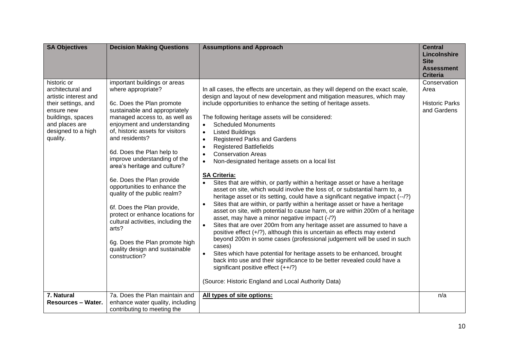| <b>SA Objectives</b>                                                                                                                                                    | <b>Decision Making Questions</b>                                                                                                                                                                                                                                                                                                                                                                                                                                                                                                                                                                                                       | <b>Assumptions and Approach</b>                                                                                                                                                                                                                                                                                                                                                                                                                                                                                                                                                                                                                                                                                                                                                                                                                                                                                                                                                                                                                                                                                                                                                                                                                                                                                                                                                                                                                                                                                                                                                                                            | <b>Central</b><br><b>Lincolnshire</b><br><b>Site</b><br><b>Assessment</b><br><b>Criteria</b> |
|-------------------------------------------------------------------------------------------------------------------------------------------------------------------------|----------------------------------------------------------------------------------------------------------------------------------------------------------------------------------------------------------------------------------------------------------------------------------------------------------------------------------------------------------------------------------------------------------------------------------------------------------------------------------------------------------------------------------------------------------------------------------------------------------------------------------------|----------------------------------------------------------------------------------------------------------------------------------------------------------------------------------------------------------------------------------------------------------------------------------------------------------------------------------------------------------------------------------------------------------------------------------------------------------------------------------------------------------------------------------------------------------------------------------------------------------------------------------------------------------------------------------------------------------------------------------------------------------------------------------------------------------------------------------------------------------------------------------------------------------------------------------------------------------------------------------------------------------------------------------------------------------------------------------------------------------------------------------------------------------------------------------------------------------------------------------------------------------------------------------------------------------------------------------------------------------------------------------------------------------------------------------------------------------------------------------------------------------------------------------------------------------------------------------------------------------------------------|----------------------------------------------------------------------------------------------|
| historic or<br>architectural and<br>artistic interest and<br>their settings, and<br>ensure new<br>buildings, spaces<br>and places are<br>designed to a high<br>quality. | important buildings or areas<br>where appropriate?<br>6c. Does the Plan promote<br>sustainable and appropriately<br>managed access to, as well as<br>enjoyment and understanding<br>of, historic assets for visitors<br>and residents?<br>6d. Does the Plan help to<br>improve understanding of the<br>area's heritage and culture?<br>6e. Does the Plan provide<br>opportunities to enhance the<br>quality of the public realm?<br>6f. Does the Plan provide,<br>protect or enhance locations for<br>cultural activities, including the<br>arts?<br>6g. Does the Plan promote high<br>quality design and sustainable<br>construction? | In all cases, the effects are uncertain, as they will depend on the exact scale,<br>design and layout of new development and mitigation measures, which may<br>include opportunities to enhance the setting of heritage assets.<br>The following heritage assets will be considered:<br><b>Scheduled Monuments</b><br>$\bullet$<br><b>Listed Buildings</b><br>$\bullet$<br><b>Registered Parks and Gardens</b><br>$\bullet$<br><b>Registered Battlefields</b><br>$\bullet$<br><b>Conservation Areas</b><br>$\bullet$<br>Non-designated heritage assets on a local list<br>$\bullet$<br><b>SA Criteria:</b><br>Sites that are within, or partly within a heritage asset or have a heritage<br>$\bullet$<br>asset on site, which would involve the loss of, or substantial harm to, a<br>heritage asset or its setting, could have a significant negative impact (--/?)<br>Sites that are within, or partly within a heritage asset or have a heritage<br>$\bullet$<br>asset on site, with potential to cause harm, or are within 200m of a heritage<br>asset, may have a minor negative impact (-/?)<br>Sites that are over 200m from any heritage asset are assumed to have a<br>$\bullet$<br>positive effect (+/?), although this is uncertain as effects may extend<br>beyond 200m in some cases (professional judgement will be used in such<br>cases)<br>Sites which have potential for heritage assets to be enhanced, brought<br>$\bullet$<br>back into use and their significance to be better revealed could have a<br>significant positive effect $(++/-)$<br>(Source: Historic England and Local Authority Data) | Conservation<br>Area<br><b>Historic Parks</b><br>and Gardens                                 |
| 7. Natural<br><b>Resources - Water.</b>                                                                                                                                 | 7a. Does the Plan maintain and<br>enhance water quality, including<br>contributing to meeting the                                                                                                                                                                                                                                                                                                                                                                                                                                                                                                                                      | All types of site options:                                                                                                                                                                                                                                                                                                                                                                                                                                                                                                                                                                                                                                                                                                                                                                                                                                                                                                                                                                                                                                                                                                                                                                                                                                                                                                                                                                                                                                                                                                                                                                                                 | n/a                                                                                          |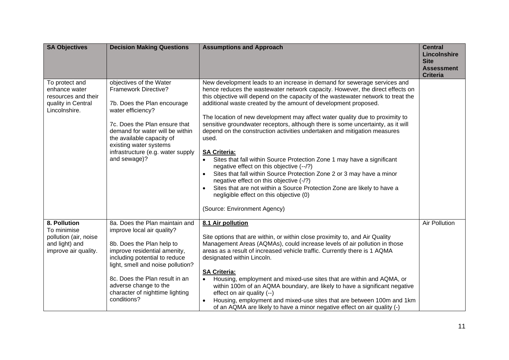| <b>SA Objectives</b>                                                                           | <b>Decision Making Questions</b>                                                                                                                                                                                                                                                                             | <b>Assumptions and Approach</b>                                                                                                                                                                                                                                                                                                                                                                                                                                                                                                                                                                                                                                                                                                                                                                                                                                                                                                                                                                                            | <b>Central</b><br>Lincolnshire<br><b>Site</b><br><b>Assessment</b><br><b>Criteria</b> |
|------------------------------------------------------------------------------------------------|--------------------------------------------------------------------------------------------------------------------------------------------------------------------------------------------------------------------------------------------------------------------------------------------------------------|----------------------------------------------------------------------------------------------------------------------------------------------------------------------------------------------------------------------------------------------------------------------------------------------------------------------------------------------------------------------------------------------------------------------------------------------------------------------------------------------------------------------------------------------------------------------------------------------------------------------------------------------------------------------------------------------------------------------------------------------------------------------------------------------------------------------------------------------------------------------------------------------------------------------------------------------------------------------------------------------------------------------------|---------------------------------------------------------------------------------------|
| To protect and<br>enhance water<br>resources and their<br>quality in Central<br>Lincolnshire.  | objectives of the Water<br>Framework Directive?<br>7b. Does the Plan encourage<br>water efficiency?<br>7c. Does the Plan ensure that<br>demand for water will be within<br>the available capacity of<br>existing water systems<br>infrastructure (e.g. water supply<br>and sewage)?                          | New development leads to an increase in demand for sewerage services and<br>hence reduces the wastewater network capacity. However, the direct effects on<br>this objective will depend on the capacity of the wastewater network to treat the<br>additional waste created by the amount of development proposed.<br>The location of new development may affect water quality due to proximity to<br>sensitive groundwater receptors, although there is some uncertainty, as it will<br>depend on the construction activities undertaken and mitigation measures<br>used.<br><b>SA Criteria:</b><br>Sites that fall within Source Protection Zone 1 may have a significant<br>negative effect on this objective (--/?)<br>Sites that fall within Source Protection Zone 2 or 3 may have a minor<br>$\bullet$<br>negative effect on this objective (-/?)<br>Sites that are not within a Source Protection Zone are likely to have a<br>$\bullet$<br>negligible effect on this objective (0)<br>(Source: Environment Agency) |                                                                                       |
| 8. Pollution<br>To minimise<br>pollution (air, noise<br>and light) and<br>improve air quality. | 8a. Does the Plan maintain and<br>improve local air quality?<br>8b. Does the Plan help to<br>improve residential amenity,<br>including potential to reduce<br>light, smell and noise pollution?<br>8c. Does the Plan result in an<br>adverse change to the<br>character of nighttime lighting<br>conditions? | 8.1 Air pollution<br>Site options that are within, or within close proximity to, and Air Quality<br>Management Areas (AQMAs), could increase levels of air pollution in those<br>areas as a result of increased vehicle traffic. Currently there is 1 AQMA<br>designated within Lincoln.<br><b>SA Criteria:</b><br>Housing, employment and mixed-use sites that are within and AQMA, or<br>within 100m of an AQMA boundary, are likely to have a significant negative<br>effect on air quality (--)<br>Housing, employment and mixed-use sites that are between 100m and 1km<br>$\bullet$<br>of an AQMA are likely to have a minor negative effect on air quality (-)                                                                                                                                                                                                                                                                                                                                                      | <b>Air Pollution</b>                                                                  |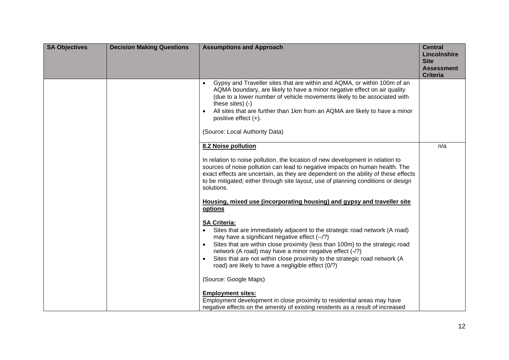| <b>SA Objectives</b> | <b>Decision Making Questions</b> | <b>Assumptions and Approach</b>                                                                                                                                                                                                                                                                                                                                                                                                                                                                                         | <b>Central</b><br>Lincolnshire<br><b>Site</b><br><b>Assessment</b><br><b>Criteria</b> |
|----------------------|----------------------------------|-------------------------------------------------------------------------------------------------------------------------------------------------------------------------------------------------------------------------------------------------------------------------------------------------------------------------------------------------------------------------------------------------------------------------------------------------------------------------------------------------------------------------|---------------------------------------------------------------------------------------|
|                      |                                  | Gypsy and Traveller sites that are within and AQMA, or within 100m of an<br>AQMA boundary, are likely to have a minor negative effect on air quality<br>(due to a lower number of vehicle movements likely to be associated with<br>these sites) (-)<br>All sites that are further than 1km from an AQMA are likely to have a minor<br>positive effect $(+)$ .<br>(Source: Local Authority Data)                                                                                                                        |                                                                                       |
|                      |                                  | 8.2 Noise pollution<br>In relation to noise pollution, the location of new development in relation to<br>sources of noise pollution can lead to negative impacts on human health. The<br>exact effects are uncertain, as they are dependent on the ability of these effects<br>to be mitigated; either through site layout, use of planning conditions or design<br>solutions.                                                                                                                                          | n/a                                                                                   |
|                      |                                  | Housing, mixed use (incorporating housing) and gypsy and traveller site<br>options<br><b>SA Criteria:</b><br>Sites that are immediately adjacent to the strategic road network (A road)<br>may have a significant negative effect (--/?)<br>Sites that are within close proximity (less than 100m) to the strategic road<br>network (A road) may have a minor negative effect (-/?)<br>Sites that are not within close proximity to the strategic road network (A<br>road) are likely to have a negligible effect (0/?) |                                                                                       |
|                      |                                  | (Source: Google Maps)<br><b>Employment sites:</b><br>Employment development in close proximity to residential areas may have<br>negative effects on the amenity of existing residents as a result of increased                                                                                                                                                                                                                                                                                                          |                                                                                       |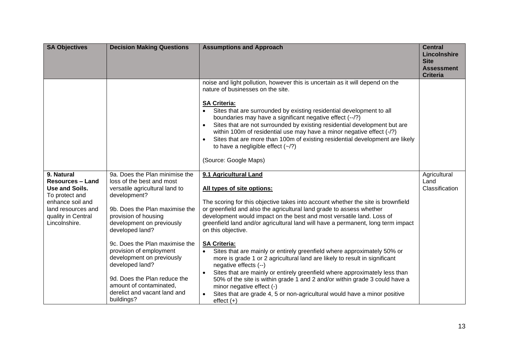| <b>SA Objectives</b>                                                                                                                                       | <b>Decision Making Questions</b>                                                                                                                                                                                                                                                                                                                                                                                                              | <b>Assumptions and Approach</b>                                                                                                                                                                                                                                                                                                                                                                                                                                                                                                                                                                                                                                                                                                                                                                                                                                                                                | <b>Central</b><br>Lincolnshire<br><b>Site</b><br><b>Assessment</b><br><b>Criteria</b> |
|------------------------------------------------------------------------------------------------------------------------------------------------------------|-----------------------------------------------------------------------------------------------------------------------------------------------------------------------------------------------------------------------------------------------------------------------------------------------------------------------------------------------------------------------------------------------------------------------------------------------|----------------------------------------------------------------------------------------------------------------------------------------------------------------------------------------------------------------------------------------------------------------------------------------------------------------------------------------------------------------------------------------------------------------------------------------------------------------------------------------------------------------------------------------------------------------------------------------------------------------------------------------------------------------------------------------------------------------------------------------------------------------------------------------------------------------------------------------------------------------------------------------------------------------|---------------------------------------------------------------------------------------|
|                                                                                                                                                            |                                                                                                                                                                                                                                                                                                                                                                                                                                               | noise and light pollution, however this is uncertain as it will depend on the<br>nature of businesses on the site.<br><b>SA Criteria:</b><br>Sites that are surrounded by existing residential development to all<br>$\bullet$<br>boundaries may have a significant negative effect (--/?)<br>Sites that are not surrounded by existing residential development but are<br>$\bullet$<br>within 100m of residential use may have a minor negative effect (-/?)<br>Sites that are more than 100m of existing residential development are likely<br>$\bullet$<br>to have a negligible effect $(-2)$<br>(Source: Google Maps)                                                                                                                                                                                                                                                                                      |                                                                                       |
| 9. Natural<br><b>Resources - Land</b><br>Use and Soils.<br>To protect and<br>enhance soil and<br>land resources and<br>quality in Central<br>Lincolnshire. | 9a. Does the Plan minimise the<br>loss of the best and most<br>versatile agricultural land to<br>development?<br>9b. Does the Plan maximise the<br>provision of housing<br>development on previously<br>developed land?<br>9c. Does the Plan maximise the<br>provision of employment<br>development on previously<br>developed land?<br>9d. Does the Plan reduce the<br>amount of contaminated,<br>derelict and vacant land and<br>buildings? | 9.1 Agricultural Land<br>All types of site options:<br>The scoring for this objective takes into account whether the site is brownfield<br>or greenfield and also the agricultural land grade to assess whether<br>development would impact on the best and most versatile land. Loss of<br>greenfield land and/or agricultural land will have a permanent, long term impact<br>on this objective.<br><b>SA Criteria:</b><br>Sites that are mainly or entirely greenfield where approximately 50% or<br>more is grade 1 or 2 agricultural land are likely to result in significant<br>negative effects (--)<br>Sites that are mainly or entirely greenfield where approximately less than<br>$\bullet$<br>50% of the site is within grade 1 and 2 and/or within grade 3 could have a<br>minor negative effect (-)<br>Sites that are grade 4, 5 or non-agricultural would have a minor positive<br>$effect (+)$ | Agricultural<br>Land<br>Classification                                                |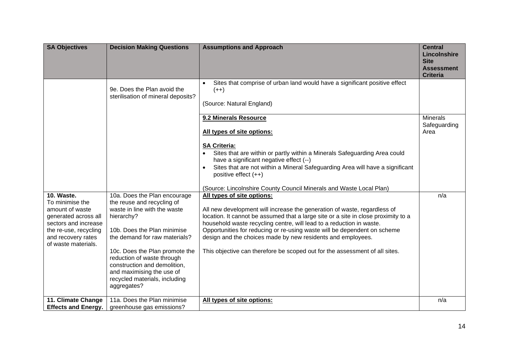| <b>SA Objectives</b>                                                                                                                                                   | <b>Decision Making Questions</b>                                                                                                                                                                                                                                                                                                                      | <b>Assumptions and Approach</b>                                                                                                                                                                                                                                                                                                                                                                                                                                                                | <b>Central</b><br>Lincolnshire<br><b>Site</b><br><b>Assessment</b><br><b>Criteria</b> |
|------------------------------------------------------------------------------------------------------------------------------------------------------------------------|-------------------------------------------------------------------------------------------------------------------------------------------------------------------------------------------------------------------------------------------------------------------------------------------------------------------------------------------------------|------------------------------------------------------------------------------------------------------------------------------------------------------------------------------------------------------------------------------------------------------------------------------------------------------------------------------------------------------------------------------------------------------------------------------------------------------------------------------------------------|---------------------------------------------------------------------------------------|
|                                                                                                                                                                        | 9e. Does the Plan avoid the<br>sterilisation of mineral deposits?                                                                                                                                                                                                                                                                                     | Sites that comprise of urban land would have a significant positive effect<br>$\bullet$<br>$(++)$<br>(Source: Natural England)                                                                                                                                                                                                                                                                                                                                                                 |                                                                                       |
|                                                                                                                                                                        |                                                                                                                                                                                                                                                                                                                                                       | 9.2 Minerals Resource<br>All types of site options:                                                                                                                                                                                                                                                                                                                                                                                                                                            | <b>Minerals</b><br>Safeguarding<br>Area                                               |
|                                                                                                                                                                        |                                                                                                                                                                                                                                                                                                                                                       | <b>SA Criteria:</b><br>Sites that are within or partly within a Minerals Safeguarding Area could<br>have a significant negative effect (--)<br>Sites that are not within a Mineral Safeguarding Area will have a significant<br>$\bullet$<br>positive effect $(++)$                                                                                                                                                                                                                            |                                                                                       |
|                                                                                                                                                                        |                                                                                                                                                                                                                                                                                                                                                       | (Source: Lincolnshire County Council Minerals and Waste Local Plan)                                                                                                                                                                                                                                                                                                                                                                                                                            |                                                                                       |
| 10. Waste.<br>To minimise the<br>amount of waste<br>generated across all<br>sectors and increase<br>the re-use, recycling<br>and recovery rates<br>of waste materials. | 10a. Does the Plan encourage<br>the reuse and recycling of<br>waste in line with the waste<br>hierarchy?<br>10b. Does the Plan minimise<br>the demand for raw materials?<br>10c. Does the Plan promote the<br>reduction of waste through<br>construction and demolition,<br>and maximising the use of<br>recycled materials, including<br>aggregates? | All types of site options:<br>All new development will increase the generation of waste, regardless of<br>location. It cannot be assumed that a large site or a site in close proximity to a<br>household waste recycling centre, will lead to a reduction in waste.<br>Opportunities for reducing or re-using waste will be dependent on scheme<br>design and the choices made by new residents and employees.<br>This objective can therefore be scoped out for the assessment of all sites. | n/a                                                                                   |
| 11. Climate Change                                                                                                                                                     | 11a. Does the Plan minimise                                                                                                                                                                                                                                                                                                                           | All types of site options:                                                                                                                                                                                                                                                                                                                                                                                                                                                                     | n/a                                                                                   |
| <b>Effects and Energy.</b>                                                                                                                                             | greenhouse gas emissions?                                                                                                                                                                                                                                                                                                                             |                                                                                                                                                                                                                                                                                                                                                                                                                                                                                                |                                                                                       |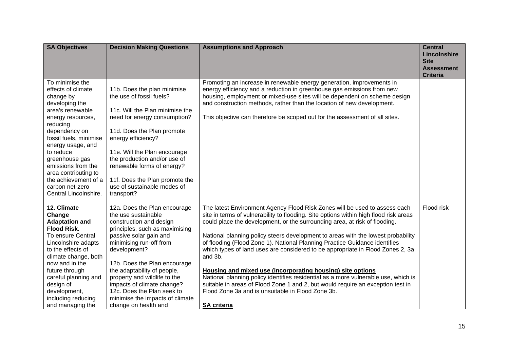| <b>SA Objectives</b>                                                                                                                                                                                                                                                                                                                       | <b>Decision Making Questions</b>                                                                                                                                                                                                                                                                                                                                                                            | <b>Assumptions and Approach</b>                                                                                                                                                                                                                                                                                                                                                                                                                                                                                                                                                                                                                                                                                                                                                                                                    | <b>Central</b><br>Lincolnshire<br><b>Site</b><br><b>Assessment</b><br><b>Criteria</b> |
|--------------------------------------------------------------------------------------------------------------------------------------------------------------------------------------------------------------------------------------------------------------------------------------------------------------------------------------------|-------------------------------------------------------------------------------------------------------------------------------------------------------------------------------------------------------------------------------------------------------------------------------------------------------------------------------------------------------------------------------------------------------------|------------------------------------------------------------------------------------------------------------------------------------------------------------------------------------------------------------------------------------------------------------------------------------------------------------------------------------------------------------------------------------------------------------------------------------------------------------------------------------------------------------------------------------------------------------------------------------------------------------------------------------------------------------------------------------------------------------------------------------------------------------------------------------------------------------------------------------|---------------------------------------------------------------------------------------|
| To minimise the<br>effects of climate<br>change by<br>developing the<br>area's renewable<br>energy resources,<br>reducing<br>dependency on<br>fossil fuels, minimise<br>energy usage, and<br>to reduce<br>greenhouse gas<br>emissions from the<br>area contributing to<br>the achievement of a<br>carbon net-zero<br>Central Lincolnshire. | 11b. Does the plan minimise<br>the use of fossil fuels?<br>11c. Will the Plan minimise the<br>need for energy consumption?<br>11d. Does the Plan promote<br>energy efficiency?<br>11e. Will the Plan encourage<br>the production and/or use of<br>renewable forms of energy?<br>11f. Does the Plan promote the<br>use of sustainable modes of<br>transport?                                                 | Promoting an increase in renewable energy generation, improvements in<br>energy efficiency and a reduction in greenhouse gas emissions from new<br>housing, employment or mixed-use sites will be dependent on scheme design<br>and construction methods, rather than the location of new development.<br>This objective can therefore be scoped out for the assessment of all sites.                                                                                                                                                                                                                                                                                                                                                                                                                                              |                                                                                       |
| 12. Climate<br>Change<br><b>Adaptation and</b><br><b>Flood Risk.</b><br>To ensure Central<br>Lincolnshire adapts<br>to the effects of<br>climate change, both<br>now and in the<br>future through<br>careful planning and<br>design of<br>development,<br>including reducing<br>and managing the                                           | 12a. Does the Plan encourage<br>the use sustainable<br>construction and design<br>principles, such as maximising<br>passive solar gain and<br>minimising run-off from<br>development?<br>12b. Does the Plan encourage<br>the adaptability of people,<br>property and wildlife to the<br>impacts of climate change?<br>12c. Does the Plan seek to<br>minimise the impacts of climate<br>change on health and | The latest Environment Agency Flood Risk Zones will be used to assess each<br>site in terms of vulnerability to flooding. Site options within high flood risk areas<br>could place the development, or the surrounding area, at risk of flooding.<br>National planning policy steers development to areas with the lowest probability<br>of flooding (Flood Zone 1). National Planning Practice Guidance identifies<br>which types of land uses are considered to be appropriate in Flood Zones 2, 3a<br>and 3b.<br>Housing and mixed use (incorporating housing) site options<br>National planning policy identifies residential as a more vulnerable use, which is<br>suitable in areas of Flood Zone 1 and 2, but would require an exception test in<br>Flood Zone 3a and is unsuitable in Flood Zone 3b.<br><b>SA criteria</b> | Flood risk                                                                            |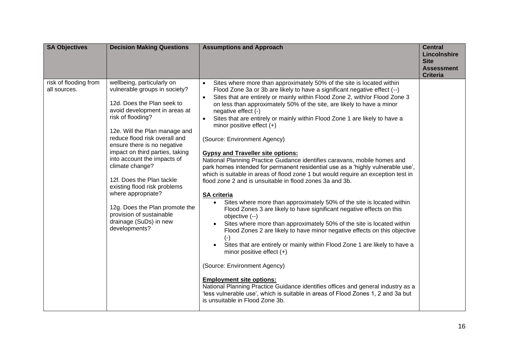| <b>SA Objectives</b>                  | <b>Decision Making Questions</b>                                                                                                                                                                                                                                                                                                                                                                                                                                                                                                  | <b>Assumptions and Approach</b>                                                                                                                                                                                                                                                                                                                                                                                                                                                                                                                                                                                                                                                                                                                                                                                                                                                                                                                                                                                                                                                                                                                                                                                                                                                                                                                                                                                                                                                                                                                                                                                                                                   | <b>Central</b><br>Lincolnshire<br><b>Site</b><br><b>Assessment</b><br><b>Criteria</b> |
|---------------------------------------|-----------------------------------------------------------------------------------------------------------------------------------------------------------------------------------------------------------------------------------------------------------------------------------------------------------------------------------------------------------------------------------------------------------------------------------------------------------------------------------------------------------------------------------|-------------------------------------------------------------------------------------------------------------------------------------------------------------------------------------------------------------------------------------------------------------------------------------------------------------------------------------------------------------------------------------------------------------------------------------------------------------------------------------------------------------------------------------------------------------------------------------------------------------------------------------------------------------------------------------------------------------------------------------------------------------------------------------------------------------------------------------------------------------------------------------------------------------------------------------------------------------------------------------------------------------------------------------------------------------------------------------------------------------------------------------------------------------------------------------------------------------------------------------------------------------------------------------------------------------------------------------------------------------------------------------------------------------------------------------------------------------------------------------------------------------------------------------------------------------------------------------------------------------------------------------------------------------------|---------------------------------------------------------------------------------------|
| risk of flooding from<br>all sources. | wellbeing, particularly on<br>vulnerable groups in society?<br>12d. Does the Plan seek to<br>avoid development in areas at<br>risk of flooding?<br>12e. Will the Plan manage and<br>reduce flood risk overall and<br>ensure there is no negative<br>impact on third parties, taking<br>into account the impacts of<br>climate change?<br>12f. Does the Plan tackle<br>existing flood risk problems<br>where appropriate?<br>12g. Does the Plan promote the<br>provision of sustainable<br>drainage (SuDs) in new<br>developments? | Sites where more than approximately 50% of the site is located within<br>$\bullet$<br>Flood Zone 3a or 3b are likely to have a significant negative effect (--)<br>Sites that are entirely or mainly within Flood Zone 2, with/or Flood Zone 3<br>$\bullet$<br>on less than approximately 50% of the site, are likely to have a minor<br>negative effect (-)<br>Sites that are entirely or mainly within Flood Zone 1 are likely to have a<br>$\bullet$<br>minor positive effect $(+)$<br>(Source: Environment Agency)<br><b>Gypsy and Traveller site options:</b><br>National Planning Practice Guidance identifies caravans, mobile homes and<br>park homes intended for permanent residential use as a 'highly vulnerable use',<br>which is suitable in areas of flood zone 1 but would require an exception test in<br>flood zone 2 and is unsuitable in flood zones 3a and 3b.<br><b>SA criteria</b><br>Sites where more than approximately 50% of the site is located within<br>Flood Zones 3 are likely to have significant negative effects on this<br>objective (--)<br>Sites where more than approximately 50% of the site is located within<br>$\bullet$<br>Flood Zones 2 are likely to have minor negative effects on this objective<br>$(-)$<br>Sites that are entirely or mainly within Flood Zone 1 are likely to have a<br>$\bullet$<br>minor positive effect $(+)$<br>(Source: Environment Agency)<br><b>Employment site options:</b><br>National Planning Practice Guidance identifies offices and general industry as a<br>'less vulnerable use', which is suitable in areas of Flood Zones 1, 2 and 3a but<br>is unsuitable in Flood Zone 3b. |                                                                                       |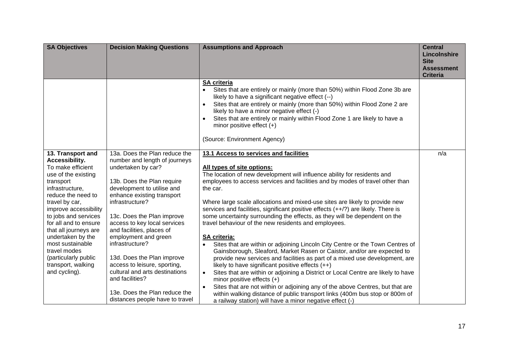| <b>SA Objectives</b>                                                                                                                                                                                                                                                                                                                                                               | <b>Decision Making Questions</b>                                                                                                                                                                                                                                                                                                                                                                                                                           | <b>Assumptions and Approach</b>                                                                                                                                                                                                                                                                                                                                                                                                                                                                                                                                                                                                                                                                                                                                                                                                                                                                                                                                                                                               | <b>Central</b><br>Lincolnshire<br><b>Site</b><br><b>Assessment</b><br><b>Criteria</b> |
|------------------------------------------------------------------------------------------------------------------------------------------------------------------------------------------------------------------------------------------------------------------------------------------------------------------------------------------------------------------------------------|------------------------------------------------------------------------------------------------------------------------------------------------------------------------------------------------------------------------------------------------------------------------------------------------------------------------------------------------------------------------------------------------------------------------------------------------------------|-------------------------------------------------------------------------------------------------------------------------------------------------------------------------------------------------------------------------------------------------------------------------------------------------------------------------------------------------------------------------------------------------------------------------------------------------------------------------------------------------------------------------------------------------------------------------------------------------------------------------------------------------------------------------------------------------------------------------------------------------------------------------------------------------------------------------------------------------------------------------------------------------------------------------------------------------------------------------------------------------------------------------------|---------------------------------------------------------------------------------------|
|                                                                                                                                                                                                                                                                                                                                                                                    |                                                                                                                                                                                                                                                                                                                                                                                                                                                            | <b>SA criteria</b><br>Sites that are entirely or mainly (more than 50%) within Flood Zone 3b are<br>$\bullet$<br>likely to have a significant negative effect (--)<br>Sites that are entirely or mainly (more than 50%) within Flood Zone 2 are<br>$\bullet$<br>likely to have a minor negative effect (-)<br>Sites that are entirely or mainly within Flood Zone 1 are likely to have a<br>$\bullet$<br>minor positive effect $(+)$<br>(Source: Environment Agency)                                                                                                                                                                                                                                                                                                                                                                                                                                                                                                                                                          |                                                                                       |
| 13. Transport and<br>Accessibility.<br>To make efficient<br>use of the existing<br>transport<br>infrastructure,<br>reduce the need to<br>travel by car,<br>improve accessibility<br>to jobs and services<br>for all and to ensure<br>that all journeys are<br>undertaken by the<br>most sustainable<br>travel modes<br>(particularly public<br>transport, walking<br>and cycling). | 13a. Does the Plan reduce the<br>number and length of journeys<br>undertaken by car?<br>13b. Does the Plan require<br>development to utilise and<br>enhance existing transport<br>infrastructure?<br>13c. Does the Plan improve<br>access to key local services<br>and facilities, places of<br>employment and green<br>infrastructure?<br>13d. Does the Plan improve<br>access to leisure, sporting,<br>cultural and arts destinations<br>and facilities? | 13.1 Access to services and facilities<br>All types of site options:<br>The location of new development will influence ability for residents and<br>employees to access services and facilities and by modes of travel other than<br>the car.<br>Where large scale allocations and mixed-use sites are likely to provide new<br>services and facilities, significant positive effects (++/?) are likely. There is<br>some uncertainty surrounding the effects, as they will be dependent on the<br>travel behaviour of the new residents and employees.<br><b>SA criteria:</b><br>Sites that are within or adjoining Lincoln City Centre or the Town Centres of<br>$\bullet$<br>Gainsborough, Sleaford, Market Rasen or Caistor, and/or are expected to<br>provide new services and facilities as part of a mixed use development, are<br>likely to have significant positive effects $(++)$<br>Sites that are within or adjoining a District or Local Centre are likely to have<br>$\bullet$<br>minor positive effects $(+)$ | n/a                                                                                   |
|                                                                                                                                                                                                                                                                                                                                                                                    | 13e. Does the Plan reduce the<br>distances people have to travel                                                                                                                                                                                                                                                                                                                                                                                           | Sites that are not within or adjoining any of the above Centres, but that are<br>$\bullet$<br>within walking distance of public transport links (400m bus stop or 800m of<br>a railway station) will have a minor negative effect (-)                                                                                                                                                                                                                                                                                                                                                                                                                                                                                                                                                                                                                                                                                                                                                                                         |                                                                                       |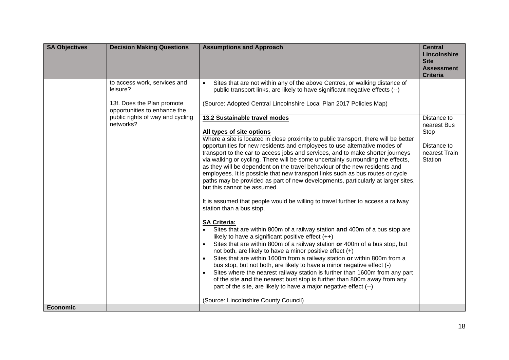| <b>SA Objectives</b> | <b>Decision Making Questions</b>                                                                       | <b>Assumptions and Approach</b>                                                                                                                                                                                                                                                                                                                                                                                                                                                                                                                                                                                                                                                                                                                                                                                                                                                                                                                                                                                                                                                                                                                                                                                                                                                                                                                                                                                                                                                                                                              | <b>Central</b><br>Lincolnshire<br><b>Site</b><br><b>Assessment</b><br><b>Criteria</b> |
|----------------------|--------------------------------------------------------------------------------------------------------|----------------------------------------------------------------------------------------------------------------------------------------------------------------------------------------------------------------------------------------------------------------------------------------------------------------------------------------------------------------------------------------------------------------------------------------------------------------------------------------------------------------------------------------------------------------------------------------------------------------------------------------------------------------------------------------------------------------------------------------------------------------------------------------------------------------------------------------------------------------------------------------------------------------------------------------------------------------------------------------------------------------------------------------------------------------------------------------------------------------------------------------------------------------------------------------------------------------------------------------------------------------------------------------------------------------------------------------------------------------------------------------------------------------------------------------------------------------------------------------------------------------------------------------------|---------------------------------------------------------------------------------------|
|                      | to access work, services and<br>leisure?<br>13f. Does the Plan promote<br>opportunities to enhance the | Sites that are not within any of the above Centres, or walking distance of<br>$\bullet$<br>public transport links, are likely to have significant negative effects (--)<br>(Source: Adopted Central Lincolnshire Local Plan 2017 Policies Map)                                                                                                                                                                                                                                                                                                                                                                                                                                                                                                                                                                                                                                                                                                                                                                                                                                                                                                                                                                                                                                                                                                                                                                                                                                                                                               |                                                                                       |
|                      | public rights of way and cycling<br>networks?                                                          | 13.2 Sustainable travel modes<br>All types of site options<br>Where a site is located in close proximity to public transport, there will be better<br>opportunities for new residents and employees to use alternative modes of<br>transport to the car to access jobs and services, and to make shorter journeys<br>via walking or cycling. There will be some uncertainty surrounding the effects,<br>as they will be dependent on the travel behaviour of the new residents and<br>employees. It is possible that new transport links such as bus routes or cycle<br>paths may be provided as part of new developments, particularly at larger sites,<br>but this cannot be assumed.<br>It is assumed that people would be willing to travel further to access a railway<br>station than a bus stop.<br><b>SA Criteria:</b><br>Sites that are within 800m of a railway station and 400m of a bus stop are<br>likely to have a significant positive effect $(++)$<br>Sites that are within 800m of a railway station or 400m of a bus stop, but<br>not both, are likely to have a minor positive effect (+)<br>Sites that are within 1600m from a railway station or within 800m from a<br>bus stop, but not both, are likely to have a minor negative effect (-)<br>Sites where the nearest railway station is further than 1600m from any part<br>of the site and the nearest bust stop is further than 800m away from any<br>part of the site, are likely to have a major negative effect (--)<br>(Source: Lincolnshire County Council) | Distance to<br>nearest Bus<br>Stop<br>Distance to<br>nearest Train<br>Station         |
| <b>Economic</b>      |                                                                                                        |                                                                                                                                                                                                                                                                                                                                                                                                                                                                                                                                                                                                                                                                                                                                                                                                                                                                                                                                                                                                                                                                                                                                                                                                                                                                                                                                                                                                                                                                                                                                              |                                                                                       |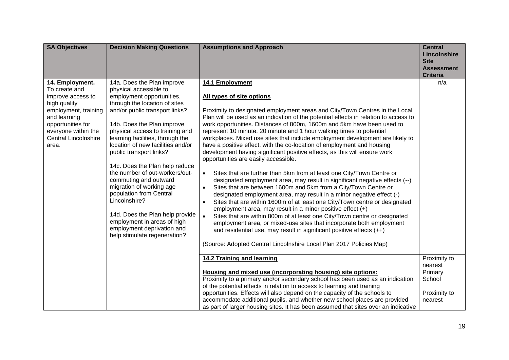| <b>SA Objectives</b>                                                                                                                                                                              | <b>Decision Making Questions</b>                                                                                                                                                                                                                                                                                                                                                                                                                                                                                                                                                                                               | <b>Assumptions and Approach</b>                                                                                                                                                                                                                                                                                                                                                                                                                                                                                                                                                                                                                                                                                                                                                                                                                                                                                                                                                                                                                                                                                                                                                                                                                                                                                                                                                                                                                                 | <b>Central</b><br>Lincolnshire<br><b>Site</b><br><b>Assessment</b><br><b>Criteria</b> |
|---------------------------------------------------------------------------------------------------------------------------------------------------------------------------------------------------|--------------------------------------------------------------------------------------------------------------------------------------------------------------------------------------------------------------------------------------------------------------------------------------------------------------------------------------------------------------------------------------------------------------------------------------------------------------------------------------------------------------------------------------------------------------------------------------------------------------------------------|-----------------------------------------------------------------------------------------------------------------------------------------------------------------------------------------------------------------------------------------------------------------------------------------------------------------------------------------------------------------------------------------------------------------------------------------------------------------------------------------------------------------------------------------------------------------------------------------------------------------------------------------------------------------------------------------------------------------------------------------------------------------------------------------------------------------------------------------------------------------------------------------------------------------------------------------------------------------------------------------------------------------------------------------------------------------------------------------------------------------------------------------------------------------------------------------------------------------------------------------------------------------------------------------------------------------------------------------------------------------------------------------------------------------------------------------------------------------|---------------------------------------------------------------------------------------|
| 14. Employment.<br>To create and<br>improve access to<br>high quality<br>employment, training<br>and learning<br>opportunities for<br>everyone within the<br><b>Central Lincolnshire</b><br>area. | 14a. Does the Plan improve<br>physical accessible to<br>employment opportunities,<br>through the location of sites<br>and/or public transport links?<br>14b. Does the Plan improve<br>physical access to training and<br>learning facilities, through the<br>location of new facilities and/or<br>public transport links?<br>14c. Does the Plan help reduce<br>the number of out-workers/out-<br>commuting and outward<br>migration of working age<br>population from Central<br>Lincolnshire?<br>14d. Does the Plan help provide<br>employment in areas of high<br>employment deprivation and<br>help stimulate regeneration? | 14.1 Employment<br>All types of site options<br>Proximity to designated employment areas and City/Town Centres in the Local<br>Plan will be used as an indication of the potential effects in relation to access to<br>work opportunities. Distances of 800m, 1600m and 5km have been used to<br>represent 10 minute, 20 minute and 1 hour walking times to potential<br>workplaces. Mixed use sites that include employment development are likely to<br>have a positive effect, with the co-location of employment and housing<br>development having significant positive effects, as this will ensure work<br>opportunities are easily accessible.<br>Sites that are further than 5km from at least one City/Town Centre or<br>$\bullet$<br>designated employment area, may result in significant negative effects (--)<br>Sites that are between 1600m and 5km from a City/Town Centre or<br>$\bullet$<br>designated employment area, may result in a minor negative effect (-)<br>Sites that are within 1600m of at least one City/Town centre or designated<br>$\bullet$<br>employment area, may result in a minor positive effect (+)<br>Sites that are within 800m of at least one City/Town centre or designated<br>$\bullet$<br>employment area, or mixed-use sites that incorporate both employment<br>and residential use, may result in significant positive effects $(++)$<br>(Source: Adopted Central Lincolnshire Local Plan 2017 Policies Map) | n/a                                                                                   |
|                                                                                                                                                                                                   |                                                                                                                                                                                                                                                                                                                                                                                                                                                                                                                                                                                                                                | 14.2 Training and learning<br>Housing and mixed use (incorporating housing) site options:<br>Proximity to a primary and/or secondary school has been used as an indication<br>of the potential effects in relation to access to learning and training<br>opportunities. Effects will also depend on the capacity of the schools to<br>accommodate additional pupils, and whether new school places are provided<br>as part of larger housing sites. It has been assumed that sites over an indicative                                                                                                                                                                                                                                                                                                                                                                                                                                                                                                                                                                                                                                                                                                                                                                                                                                                                                                                                                           | Proximity to<br>nearest<br>Primary<br>School<br>Proximity to<br>nearest               |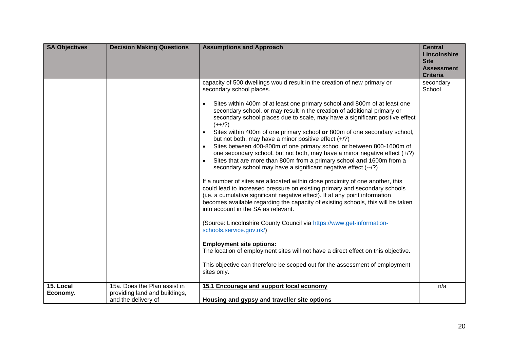| <b>SA Objectives</b> | <b>Decision Making Questions</b>                     | <b>Assumptions and Approach</b>                                                                                                                                                                                                                                                                                                                                                                                                                                                                                                                                                                                                                                                                                                                                                                                                                                                                                                                                                                                                                                                                                                                                                                                                                                                                                                                                                                                                                                                                                                 | <b>Central</b><br>Lincolnshire<br><b>Site</b><br><b>Assessment</b><br><b>Criteria</b> |
|----------------------|------------------------------------------------------|---------------------------------------------------------------------------------------------------------------------------------------------------------------------------------------------------------------------------------------------------------------------------------------------------------------------------------------------------------------------------------------------------------------------------------------------------------------------------------------------------------------------------------------------------------------------------------------------------------------------------------------------------------------------------------------------------------------------------------------------------------------------------------------------------------------------------------------------------------------------------------------------------------------------------------------------------------------------------------------------------------------------------------------------------------------------------------------------------------------------------------------------------------------------------------------------------------------------------------------------------------------------------------------------------------------------------------------------------------------------------------------------------------------------------------------------------------------------------------------------------------------------------------|---------------------------------------------------------------------------------------|
| 15. Local            | 15a. Does the Plan assist in                         | capacity of 500 dwellings would result in the creation of new primary or<br>secondary school places.<br>Sites within 400m of at least one primary school and 800m of at least one<br>$\bullet$<br>secondary school, or may result in the creation of additional primary or<br>secondary school places due to scale, may have a significant positive effect<br>$(++/-)$<br>Sites within 400m of one primary school or 800m of one secondary school,<br>$\bullet$<br>but not both, may have a minor positive effect $(+/?)$<br>Sites between 400-800m of one primary school or between 800-1600m of<br>one secondary school, but not both, may have a minor negative effect (+/?)<br>Sites that are more than 800m from a primary school and 1600m from a<br>secondary school may have a significant negative effect (--/?)<br>If a number of sites are allocated within close proximity of one another, this<br>could lead to increased pressure on existing primary and secondary schools<br>(i.e. a cumulative significant negative effect). If at any point information<br>becomes available regarding the capacity of existing schools, this will be taken<br>into account in the SA as relevant.<br>(Source: Lincolnshire County Council via https://www.get-information-<br>schools.service.gov.uk/)<br><b>Employment site options:</b><br>The location of employment sites will not have a direct effect on this objective.<br>This objective can therefore be scoped out for the assessment of employment<br>sites only. | secondary<br>School<br>n/a                                                            |
| Economy.             | providing land and buildings,<br>and the delivery of | 15.1 Encourage and support local economy<br>Housing and gypsy and traveller site options                                                                                                                                                                                                                                                                                                                                                                                                                                                                                                                                                                                                                                                                                                                                                                                                                                                                                                                                                                                                                                                                                                                                                                                                                                                                                                                                                                                                                                        |                                                                                       |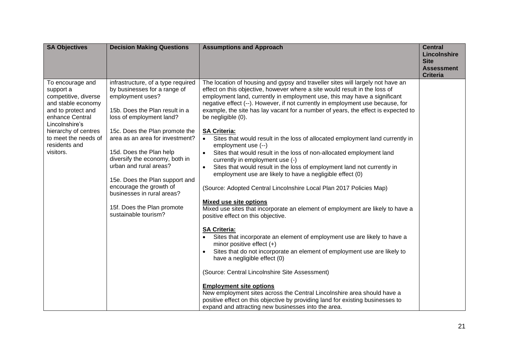| <b>SA Objectives</b>                                                                                                                                                                                                 | <b>Decision Making Questions</b>                                                                                                                                                                                                                                                                                                                                                                                                                                  | <b>Assumptions and Approach</b>                                                                                                                                                                                                                                                                                                                                                                                                                                                                                                                                                                                                                                                                                                                                                                                                                                                                                                                                                                                                                                                                                                                                                                                                                                                                                                                                                                                                                                                                                                                                                                                             | <b>Central</b><br>Lincolnshire<br><b>Site</b><br><b>Assessment</b><br><b>Criteria</b> |
|----------------------------------------------------------------------------------------------------------------------------------------------------------------------------------------------------------------------|-------------------------------------------------------------------------------------------------------------------------------------------------------------------------------------------------------------------------------------------------------------------------------------------------------------------------------------------------------------------------------------------------------------------------------------------------------------------|-----------------------------------------------------------------------------------------------------------------------------------------------------------------------------------------------------------------------------------------------------------------------------------------------------------------------------------------------------------------------------------------------------------------------------------------------------------------------------------------------------------------------------------------------------------------------------------------------------------------------------------------------------------------------------------------------------------------------------------------------------------------------------------------------------------------------------------------------------------------------------------------------------------------------------------------------------------------------------------------------------------------------------------------------------------------------------------------------------------------------------------------------------------------------------------------------------------------------------------------------------------------------------------------------------------------------------------------------------------------------------------------------------------------------------------------------------------------------------------------------------------------------------------------------------------------------------------------------------------------------------|---------------------------------------------------------------------------------------|
| To encourage and<br>support a<br>competitive, diverse<br>and stable economy<br>and to protect and<br>enhance Central<br>Lincolnshire's<br>hierarchy of centres<br>to meet the needs of<br>residents and<br>visitors. | infrastructure, of a type required<br>by businesses for a range of<br>employment uses?<br>15b. Does the Plan result in a<br>loss of employment land?<br>15c. Does the Plan promote the<br>area as an area for investment?<br>15d. Does the Plan help<br>diversify the economy, both in<br>urban and rural areas?<br>15e. Does the Plan support and<br>encourage the growth of<br>businesses in rural areas?<br>15f. Does the Plan promote<br>sustainable tourism? | The location of housing and gypsy and traveller sites will largely not have an<br>effect on this objective, however where a site would result in the loss of<br>employment land, currently in employment use, this may have a significant<br>negative effect (--). However, if not currently in employment use because, for<br>example, the site has lay vacant for a number of years, the effect is expected to<br>be negligible (0).<br><b>SA Criteria:</b><br>Sites that would result in the loss of allocated employment land currently in<br>employment use (--)<br>Sites that would result in the loss of non-allocated employment land<br>currently in employment use (-)<br>Sites that would result in the loss of employment land not currently in<br>$\bullet$<br>employment use are likely to have a negligible effect (0)<br>(Source: Adopted Central Lincolnshire Local Plan 2017 Policies Map)<br><b>Mixed use site options</b><br>Mixed use sites that incorporate an element of employment are likely to have a<br>positive effect on this objective.<br><b>SA Criteria:</b><br>Sites that incorporate an element of employment use are likely to have a<br>minor positive effect $(+)$<br>Sites that do not incorporate an element of employment use are likely to<br>have a negligible effect (0)<br>(Source: Central Lincolnshire Site Assessment)<br><b>Employment site options</b><br>New employment sites across the Central Lincolnshire area should have a<br>positive effect on this objective by providing land for existing businesses to<br>expand and attracting new businesses into the area. |                                                                                       |